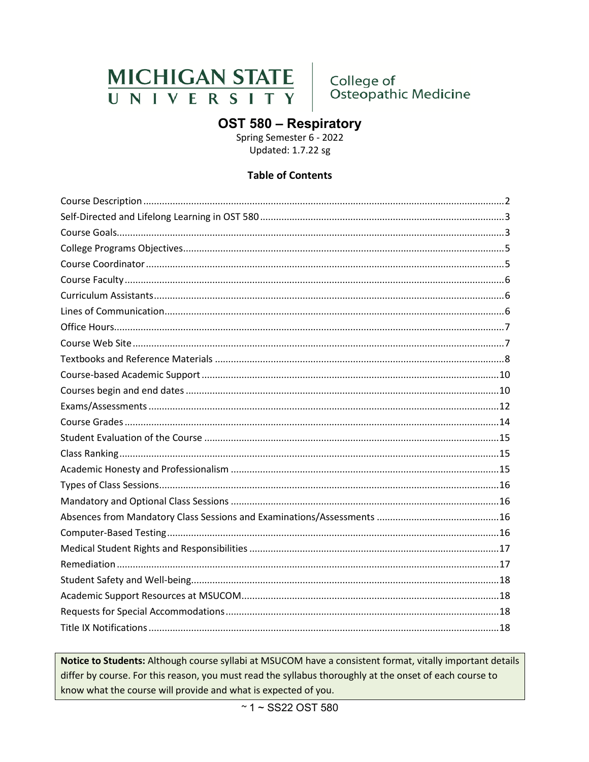# MICHIGAN STATE<br>UNIVERSITY

College of<br>Osteopathic Medicine

# OST 580 - Respiratory

Spring Semester 6 - 2022 Updated: 1.7.22 sg

## **Table of Contents**

Notice to Students: Although course syllabi at MSUCOM have a consistent format, vitally important details differ by course. For this reason, you must read the syllabus thoroughly at the onset of each course to know what the course will provide and what is expected of you.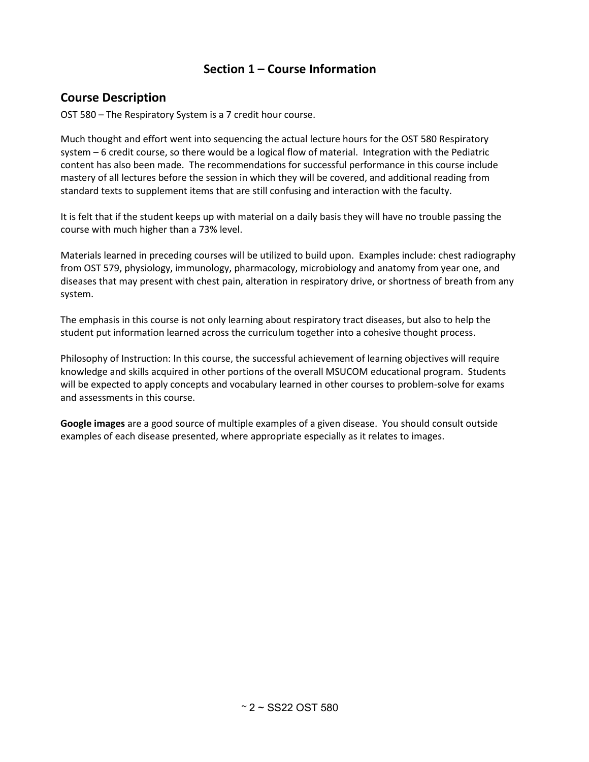## **Section 1 – Course Information**

## <span id="page-1-0"></span>**Course Description**

OST 580 – The Respiratory System is a 7 credit hour course.

Much thought and effort went into sequencing the actual lecture hours for the OST 580 Respiratory system – 6 credit course, so there would be a logical flow of material. Integration with the Pediatric content has also been made. The recommendations for successful performance in this course include mastery of all lectures before the session in which they will be covered, and additional reading from standard texts to supplement items that are still confusing and interaction with the faculty.

It is felt that if the student keeps up with material on a daily basis they will have no trouble passing the course with much higher than a 73% level.

Materials learned in preceding courses will be utilized to build upon. Examples include: chest radiography from OST 579, physiology, immunology, pharmacology, microbiology and anatomy from year one, and diseases that may present with chest pain, alteration in respiratory drive, or shortness of breath from any system.

The emphasis in this course is not only learning about respiratory tract diseases, but also to help the student put information learned across the curriculum together into a cohesive thought process.

Philosophy of Instruction: In this course, the successful achievement of learning objectives will require knowledge and skills acquired in other portions of the overall MSUCOM educational program. Students will be expected to apply concepts and vocabulary learned in other courses to problem-solve for exams and assessments in this course.

**Google images** are a good source of multiple examples of a given disease. You should consult outside examples of each disease presented, where appropriate especially as it relates to images.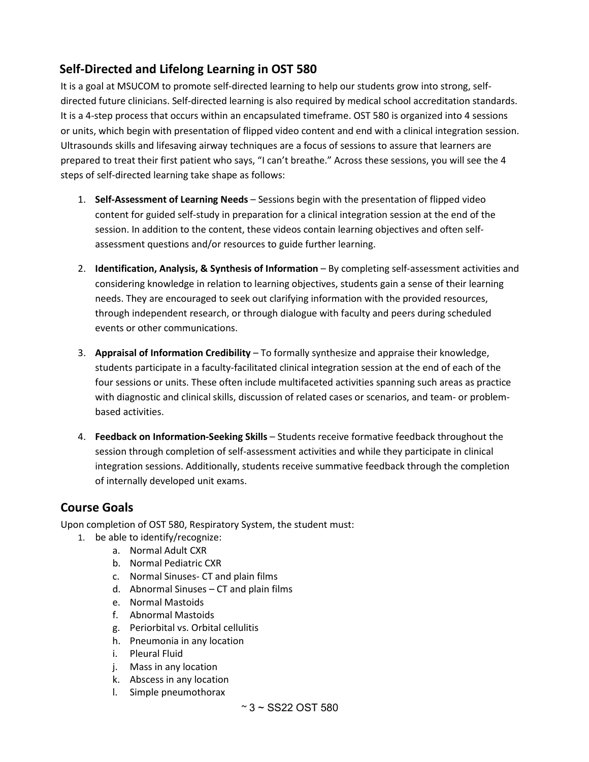# <span id="page-2-0"></span>**Self-Directed and Lifelong Learning in OST 580**

It is a goal at MSUCOM to promote self-directed learning to help our students grow into strong, selfdirected future clinicians. Self-directed learning is also required by medical school accreditation standards. It is a 4-step process that occurs within an encapsulated timeframe. OST 580 is organized into 4 sessions or units, which begin with presentation of flipped video content and end with a clinical integration session. Ultrasounds skills and lifesaving airway techniques are a focus of sessions to assure that learners are prepared to treat their first patient who says, "I can't breathe." Across these sessions, you will see the 4 steps of self-directed learning take shape as follows:

- 1. **Self-Assessment of Learning Needs** Sessions begin with the presentation of flipped video content for guided self-study in preparation for a clinical integration session at the end of the session. In addition to the content, these videos contain learning objectives and often selfassessment questions and/or resources to guide further learning.
- 2. **Identification, Analysis, & Synthesis of Information** By completing self-assessment activities and considering knowledge in relation to learning objectives, students gain a sense of their learning needs. They are encouraged to seek out clarifying information with the provided resources, through independent research, or through dialogue with faculty and peers during scheduled events or other communications.
- 3. **Appraisal of Information Credibility**  To formally synthesize and appraise their knowledge, students participate in a faculty-facilitated clinical integration session at the end of each of the four sessions or units. These often include multifaceted activities spanning such areas as practice with diagnostic and clinical skills, discussion of related cases or scenarios, and team- or problembased activities.
- 4. **Feedback on Information-Seeking Skills** Students receive formative feedback throughout the session through completion of self-assessment activities and while they participate in clinical integration sessions. Additionally, students receive summative feedback through the completion of internally developed unit exams.

## <span id="page-2-1"></span>**Course Goals**

Upon completion of OST 580, Respiratory System, the student must:

- 1. be able to identify/recognize:
	- a. Normal Adult CXR
		- b. Normal Pediatric CXR
		- c. Normal Sinuses- CT and plain films
		- d. Abnormal Sinuses CT and plain films
		- e. Normal Mastoids
		- f. Abnormal Mastoids
		- g. Periorbital vs. Orbital cellulitis
		- h. Pneumonia in any location
		- i. Pleural Fluid
		- j. Mass in any location
		- k. Abscess in any location
		- l. Simple pneumothorax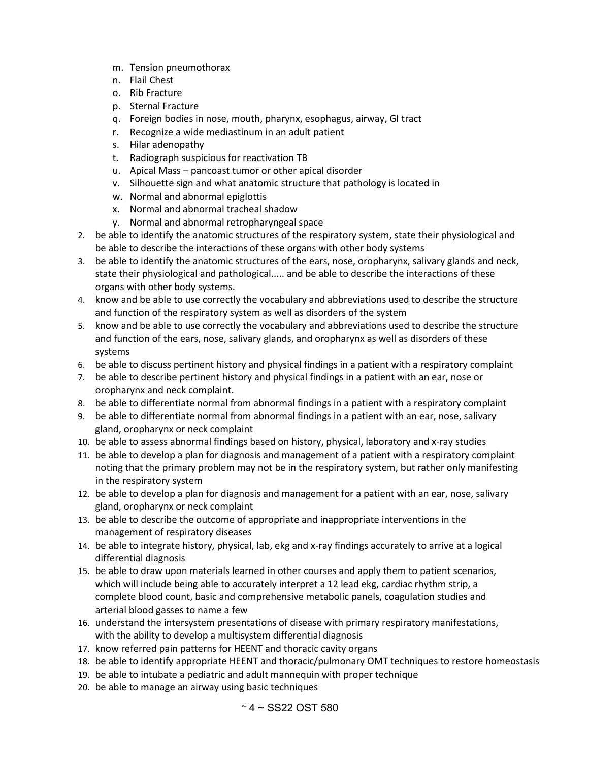- m. Tension pneumothorax
- n. Flail Chest
- o. Rib Fracture
- p. Sternal Fracture
- q. Foreign bodies in nose, mouth, pharynx, esophagus, airway, GI tract
- r. Recognize a wide mediastinum in an adult patient
- s. Hilar adenopathy
- t. Radiograph suspicious for reactivation TB
- u. Apical Mass pancoast tumor or other apical disorder
- v. Silhouette sign and what anatomic structure that pathology is located in
- w. Normal and abnormal epiglottis
- x. Normal and abnormal tracheal shadow
- y. Normal and abnormal retropharyngeal space
- 2. be able to identify the anatomic structures of the respiratory system, state their physiological and be able to describe the interactions of these organs with other body systems
- 3. be able to identify the anatomic structures of the ears, nose, oropharynx, salivary glands and neck, state their physiological and pathological..... and be able to describe the interactions of these organs with other body systems.
- 4. know and be able to use correctly the vocabulary and abbreviations used to describe the structure and function of the respiratory system as well as disorders of the system
- 5. know and be able to use correctly the vocabulary and abbreviations used to describe the structure and function of the ears, nose, salivary glands, and oropharynx as well as disorders of these systems
- 6. be able to discuss pertinent history and physical findings in a patient with a respiratory complaint
- 7. be able to describe pertinent history and physical findings in a patient with an ear, nose or oropharynx and neck complaint.
- 8. be able to differentiate normal from abnormal findings in a patient with a respiratory complaint
- 9. be able to differentiate normal from abnormal findings in a patient with an ear, nose, salivary gland, oropharynx or neck complaint
- 10. be able to assess abnormal findings based on history, physical, laboratory and x-ray studies
- 11. be able to develop a plan for diagnosis and management of a patient with a respiratory complaint noting that the primary problem may not be in the respiratory system, but rather only manifesting in the respiratory system
- 12. be able to develop a plan for diagnosis and management for a patient with an ear, nose, salivary gland, oropharynx or neck complaint
- 13. be able to describe the outcome of appropriate and inappropriate interventions in the management of respiratory diseases
- 14. be able to integrate history, physical, lab, ekg and x-ray findings accurately to arrive at a logical differential diagnosis
- 15. be able to draw upon materials learned in other courses and apply them to patient scenarios, which will include being able to accurately interpret a 12 lead ekg, cardiac rhythm strip, a complete blood count, basic and comprehensive metabolic panels, coagulation studies and arterial blood gasses to name a few
- 16. understand the intersystem presentations of disease with primary respiratory manifestations, with the ability to develop a multisystem differential diagnosis
- 17. know referred pain patterns for HEENT and thoracic cavity organs
- 18. be able to identify appropriate HEENT and thoracic/pulmonary OMT techniques to restore homeostasis
- 19. be able to intubate a pediatric and adult mannequin with proper technique
- 20. be able to manage an airway using basic techniques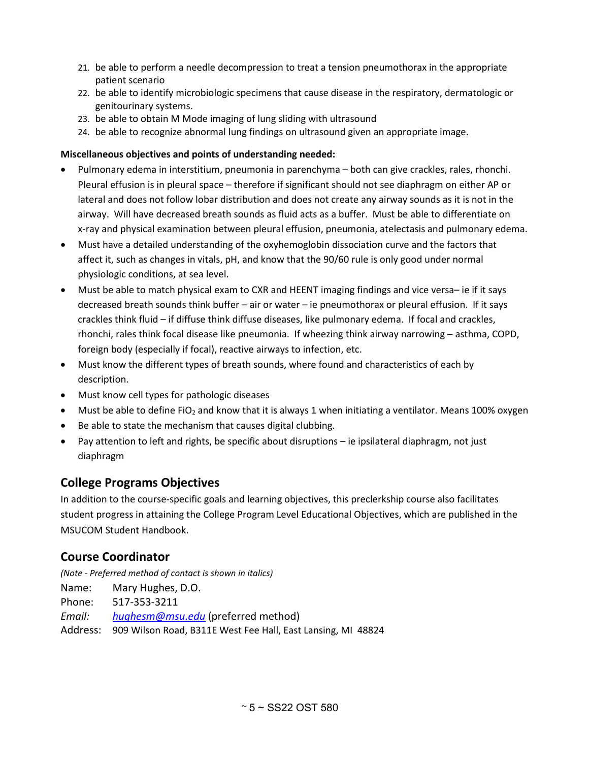- 21. be able to perform a needle decompression to treat a tension pneumothorax in the appropriate patient scenario
- 22. be able to identify microbiologic specimens that cause disease in the respiratory, dermatologic or genitourinary systems.
- 23. be able to obtain M Mode imaging of lung sliding with ultrasound
- 24. be able to recognize abnormal lung findings on ultrasound given an appropriate image.

### **Miscellaneous objectives and points of understanding needed:**

- Pulmonary edema in interstitium, pneumonia in parenchyma both can give crackles, rales, rhonchi. Pleural effusion is in pleural space – therefore if significant should not see diaphragm on either AP or lateral and does not follow lobar distribution and does not create any airway sounds as it is not in the airway. Will have decreased breath sounds as fluid acts as a buffer. Must be able to differentiate on x-ray and physical examination between pleural effusion, pneumonia, atelectasis and pulmonary edema.
- Must have a detailed understanding of the oxyhemoglobin dissociation curve and the factors that affect it, such as changes in vitals, pH, and know that the 90/60 rule is only good under normal physiologic conditions, at sea level.
- Must be able to match physical exam to CXR and HEENT imaging findings and vice versa– ie if it says decreased breath sounds think buffer – air or water – ie pneumothorax or pleural effusion. If it says crackles think fluid – if diffuse think diffuse diseases, like pulmonary edema. If focal and crackles, rhonchi, rales think focal disease like pneumonia. If wheezing think airway narrowing – asthma, COPD, foreign body (especially if focal), reactive airways to infection, etc.
- Must know the different types of breath sounds, where found and characteristics of each by description.
- Must know cell types for pathologic diseases
- Must be able to define FiO2 and know that it is always 1 when initiating a ventilator. Means 100% oxygen
- Be able to state the mechanism that causes digital clubbing.
- Pay attention to left and rights, be specific about disruptions ie ipsilateral diaphragm, not just diaphragm

# <span id="page-4-0"></span>**College Programs Objectives**

In addition to the course-specific goals and learning objectives, this preclerkship course also facilitates student progress in attaining the College Program Level Educational Objectives, which are published in the MSUCOM Student Handbook.

# <span id="page-4-1"></span>**Course Coordinator**

*(Note - Preferred method of contact is shown in italics)*

Name: Mary Hughes, D.O.

Phone: 517-353-3211

*Email: [hughesm@msu.edu](mailto:hughesm@msu.edu)* (preferred method)

Address: 909 Wilson Road, B311E West Fee Hall, East Lansing, MI 48824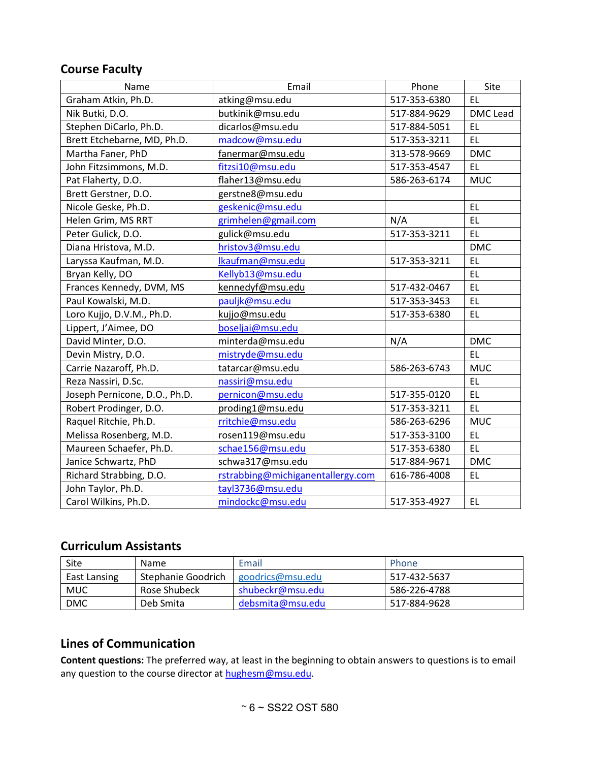## <span id="page-5-0"></span>**Course Faculty**

| Name                          | Email                             | Phone        | Site       |
|-------------------------------|-----------------------------------|--------------|------------|
| Graham Atkin, Ph.D.           | atking@msu.edu                    | 517-353-6380 | EL.        |
| Nik Butki, D.O.               | butkinik@msu.edu                  | 517-884-9629 | DMC Lead   |
| Stephen DiCarlo, Ph.D.        | dicarlos@msu.edu                  | 517-884-5051 | EL.        |
| Brett Etchebarne, MD, Ph.D.   | madcow@msu.edu                    | 517-353-3211 | <b>EL</b>  |
| Martha Faner, PhD             | fanermar@msu.edu                  | 313-578-9669 | <b>DMC</b> |
| John Fitzsimmons, M.D.        | fitzsi10@msu.edu                  | 517-353-4547 | EL.        |
| Pat Flaherty, D.O.            | flaher13@msu.edu                  | 586-263-6174 | <b>MUC</b> |
| Brett Gerstner, D.O.          | gerstne8@msu.edu                  |              |            |
| Nicole Geske, Ph.D.           | geskenic@msu.edu                  |              | <b>EL</b>  |
| Helen Grim, MS RRT            | grimhelen@gmail.com               | N/A          | <b>EL</b>  |
| Peter Gulick, D.O.            | gulick@msu.edu                    | 517-353-3211 | <b>EL</b>  |
| Diana Hristova, M.D.          | hristov3@msu.edu                  |              | <b>DMC</b> |
| Laryssa Kaufman, M.D.         | Ikaufman@msu.edu                  | 517-353-3211 | EL.        |
| Bryan Kelly, DO               | Kellyb13@msu.edu                  |              | <b>EL</b>  |
| Frances Kennedy, DVM, MS      | kennedyf@msu.edu                  | 517-432-0467 | <b>EL</b>  |
| Paul Kowalski, M.D.           | pauljk@msu.edu                    | 517-353-3453 | <b>EL</b>  |
| Loro Kujjo, D.V.M., Ph.D.     | kujjo@msu.edu                     | 517-353-6380 | <b>EL</b>  |
| Lippert, J'Aimee, DO          | boseljai@msu.edu                  |              |            |
| David Minter, D.O.            | minterda@msu.edu                  | N/A          | <b>DMC</b> |
| Devin Mistry, D.O.            | mistryde@msu.edu                  |              | EL         |
| Carrie Nazaroff, Ph.D.        | tatarcar@msu.edu                  | 586-263-6743 | <b>MUC</b> |
| Reza Nassiri, D.Sc.           | nassiri@msu.edu                   |              | <b>EL</b>  |
| Joseph Pernicone, D.O., Ph.D. | pernicon@msu.edu                  | 517-355-0120 | <b>EL</b>  |
| Robert Prodinger, D.O.        | proding1@msu.edu                  | 517-353-3211 | EL.        |
| Raquel Ritchie, Ph.D.         | rritchie@msu.edu                  | 586-263-6296 | <b>MUC</b> |
| Melissa Rosenberg, M.D.       | rosen119@msu.edu                  | 517-353-3100 | <b>EL</b>  |
| Maureen Schaefer, Ph.D.       | schae156@msu.edu                  | 517-353-6380 | EL         |
| Janice Schwartz, PhD          | schwa317@msu.edu                  | 517-884-9671 | <b>DMC</b> |
| Richard Strabbing, D.O.       | rstrabbing@michiganentallergy.com | 616-786-4008 | EL.        |
| John Taylor, Ph.D.            | tayl3736@msu.edu                  |              |            |
| Carol Wilkins, Ph.D.          | mindockc@msu.edu                  | 517-353-4927 | EL.        |

# <span id="page-5-1"></span>**Curriculum Assistants**

| Site         | <b>Name</b>        | Email            | Phone        |
|--------------|--------------------|------------------|--------------|
| East Lansing | Stephanie Goodrich | goodrics@msu.edu | 517-432-5637 |
| MUC          | Rose Shubeck       | shubeckr@msu.edu | 586-226-4788 |
| <b>DMC</b>   | Deb Smita          | debsmita@msu.edu | 517-884-9628 |

# <span id="page-5-2"></span>**Lines of Communication**

**Content questions:** The preferred way, at least in the beginning to obtain answers to questions is to email any question to the course director at [hughesm@msu.edu.](mailto:hughesm@msu.edu)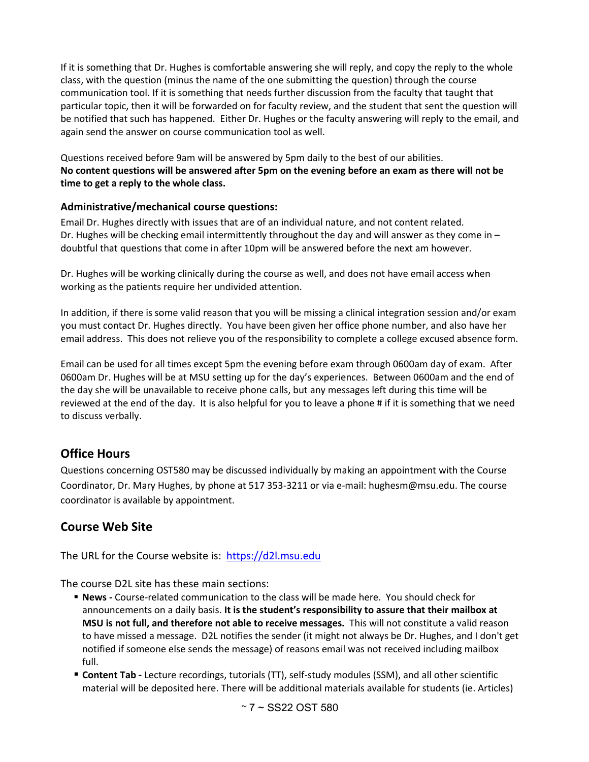If it is something that Dr. Hughes is comfortable answering she will reply, and copy the reply to the whole class, with the question (minus the name of the one submitting the question) through the course communication tool. If it is something that needs further discussion from the faculty that taught that particular topic, then it will be forwarded on for faculty review, and the student that sent the question will be notified that such has happened. Either Dr. Hughes or the faculty answering will reply to the email, and again send the answer on course communication tool as well.

Questions received before 9am will be answered by 5pm daily to the best of our abilities. **No content questions will be answered after 5pm on the evening before an exam as there will not be time to get a reply to the whole class.** 

### **Administrative/mechanical course questions:**

Email Dr. Hughes directly with issues that are of an individual nature, and not content related. Dr. Hughes will be checking email intermittently throughout the day and will answer as they come in  $$ doubtful that questions that come in after 10pm will be answered before the next am however.

Dr. Hughes will be working clinically during the course as well, and does not have email access when working as the patients require her undivided attention.

In addition, if there is some valid reason that you will be missing a clinical integration session and/or exam you must contact Dr. Hughes directly. You have been given her office phone number, and also have her email address. This does not relieve you of the responsibility to complete a college excused absence form.

Email can be used for all times except 5pm the evening before exam through 0600am day of exam. After 0600am Dr. Hughes will be at MSU setting up for the day's experiences. Between 0600am and the end of the day she will be unavailable to receive phone calls, but any messages left during this time will be reviewed at the end of the day. It is also helpful for you to leave a phone # if it is something that we need to discuss verbally.

# <span id="page-6-0"></span>**Office Hours**

Questions concerning OST580 may be discussed individually by making an appointment with the Course Coordinator, Dr. Mary Hughes, by phone at 517 353-3211 or via e-mail: hughesm@msu.edu. The course coordinator is available by appointment.

# <span id="page-6-1"></span>**Course Web Site**

The URL for the Course website is: [https://d2l.msu.edu](https://d2l.msu.edu/)

The course D2L site has these main sections:

- **News -** Course-related communication to the class will be made here. You should check for announcements on a daily basis. **It is the student's responsibility to assure that their mailbox at MSU is not full, and therefore not able to receive messages.** This will not constitute a valid reason to have missed a message. D2L notifies the sender (it might not always be Dr. Hughes, and I don't get notified if someone else sends the message) of reasons email was not received including mailbox full.
- **Content Tab -** Lecture recordings, tutorials (TT), self-study modules (SSM), and all other scientific material will be deposited here. There will be additional materials available for students (ie. Articles)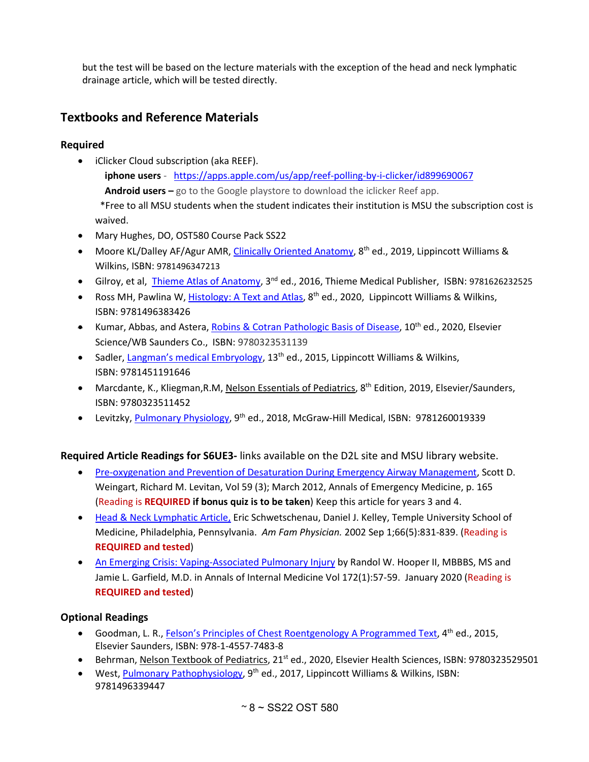but the test will be based on the lecture materials with the exception of the head and neck lymphatic drainage article, which will be tested directly.

# <span id="page-7-0"></span>**Textbooks and Reference Materials**

## **Required**

- iClicker Cloud subscription (aka REEF).  **iphone users** - <https://apps.apple.com/us/app/reef-polling-by-i-clicker/id899690067>  **Android users –** go to the Google playstore to download the iclicker Reef app. \*Free to all MSU students when the student indicates their institution is MSU the subscription cost is waived.
- Mary Hughes, DO, OST580 Course Pack SS22
- Moore KL/Dalley AF/Agur AMR[, Clinically Oriented Anatomy,](http://ezproxy.msu.edu/login?url=http://meded.lwwhealthlibrary.com/book.aspx?bookid=739) 8<sup>th</sup> ed., 2019, Lippincott Williams & Wilkins, ISBN: 9781496347213
- Gilroy, et al, [Thieme Atlas of Anatomy,](http://ezproxy.msu.edu/login?url=http://ezproxy.msu.edu/login?url=https://ebooks.thieme.com/pdfreader/atlas-anatomy75973) 3<sup>nd</sup> ed., 2016, Thieme Medical Publisher, ISBN: 9781626232525
- Ross MH, Pawlina W, [Histology: A Text and Atlas,](http://ezproxy.msu.edu/login?url=http://meded.lwwhealthlibrary.com/book.aspx?bookid=1316) 8<sup>th</sup> ed., 2020, Lippincott Williams & Wilkins, ISBN: 9781496383426
- Kumar, Abbas, and Astera, [Robins & Cotran Pathologic Basis of Disease,](http://ezproxy.msu.edu/login?url=https://www.clinicalkey.com/dura/browse/bookChapter/3-s2.0-C20110055734) 10<sup>th</sup> ed., 2020, Elsevier Science/WB Saunders Co., ISBN: 9780323531139
- Sadler, [Langman's medical Embryology,](http://ezproxy.msu.edu/login?url=http://meded.lwwhealthlibrary.com/book.aspx?bookid=1362) 13<sup>th</sup> ed., 2015, Lippincott Williams & Wilkins, ISBN: 9781451191646
- Marcdante, K., Kliegman, R.M, Nelson Essentials of Pediatrics, 8<sup>th</sup> Edition, 2019, Elsevier/Saunders, ISBN: 9780323511452
- Levitzky, [Pulmonary Physiology,](http://ezproxy.msu.edu/login?url=https://accessmedicine.mhmedical.com/book.aspx?bookid=2288) 9<sup>th</sup> ed., 2018, McGraw-Hill Medical, ISBN: 9781260019339

**Required Article Readings for S6UE3-** links available on the D2L site and MSU library website.

- [Pre-oxygenation and Prevention of Desaturation During Emergency Airway Management,](http://ezproxy.msu.edu/login?url=https://www.sciencedirect.com/science/article/pii/S0196064411016672) Scott D. Weingart, Richard M. Levitan, Vol 59 (3); March 2012, Annals of Emergency Medicine, p. 165 (Reading is **REQUIRED if bonus quiz is to be taken**) Keep this article for years 3 and 4.
- [Head & Neck Lymphatic Article,](http://www.aafp.org/afp/2002/0901/p831.html) Eric Schwetschenau, Daniel J. Kelley, Temple University School of Medicine, Philadelphia, Pennsylvania. *Am Fam Physician.* 2002 Sep 1;66(5):831-839. (Reading is **REQUIRED and tested**)
- [An Emerging Crisis: Vaping-Associated Pulmonary Injury](http://msulibraries.summon.serialssolutions.com/2.0.0/link/0/eLvHCXMwtV3ra9swEBdrBqMUxl7t0sfIYN-GqCU_VULBhJgOki0wZ4x9cWVJph2tO9b6_9-dZdlLx6D7MAImOiuKuZ9899PjToS8Ax_LQ61CqkWZ0CCSFS21iamnGfCBKFKiTZL0LeXrLFh9jrMu6RHGwgzC_wo1yABsDJ39B7j7RkEA3wF0uALscH0Q8Gn9Hmea2sOHZvAKX7ab3r5IDIyiDg2gmavmCp4JN819qL83m5HRQ1rlSztjeLW5CN9NE3CvnSawrsw40ybAnNjDfnvbF_M_QLaWLIx_84k2u_p9axv77fmQSyYoF14yeBS3iv7xU5GtF4sin3_Nt8hjngDZA5OTr856Z-nDiM_mBMbWjl1bmyzhL9S_pQD5M_K04-6T1Or8OXlk6hfkybJTzEtyPr04TeuJ0_70-OJ0AiILApZOsGiRwCLF-j0grnqPixNYeLD0iqyzeT47o90JFlS16lZMKhFIGPbp0LBImaiSJQzRNODAtaqEZFJHvAqACGsWGp8xxSKPV9qDNxxM_y4Z1Te1eU0mTJQq0SaCjwxCKUqmY7_yA18xpYVmY_LWaaz4YROVFDDAQ60WoNUCtTomh06VRddjbwvuAyNOGFSEJvrbYGRw5UjW5qbBOphZUgC1H5M9C0H_Jz7D8OWE7z_g1wdke-ibh2R097MxR2Tn-nbYCfim7R-_ANDMUNg) by Randol W. Hooper II, MBBBS, MS and Jamie L. Garfield, M.D. in Annals of Internal Medicine Vol 172(1):57-59. January 2020 (Reading is **REQUIRED and tested**)

## **Optional Readings**

- Goodman, L. R., [Felson's Principles of Chest Roentgenology A Programmed Text,](http://ezproxy.msu.edu/login?url=https://www.clinicalkey.com/dura/browse/bookChapter/3-s2.0-C2012002652X) 4<sup>th</sup> ed., 2015, Elsevier Saunders, ISBN: 978-1-4557-7483-8
- Behrman, [Nelson Textbook of Pediatrics,](http://ezproxy.msu.edu/login?url=https://www.clinicalkey.com/dura/browse/bookChapter/3-s2.0-C20120035867) 21<sup>st</sup> ed., 2020, Elsevier Health Sciences, ISBN: 9780323529501
- West[, Pulmonary Pathophysiology,](http://ezproxy.msu.edu/login?url=http://meded.lwwhealthlibrary.com/book.aspx?bookid=2083) 9<sup>th</sup> ed., 2017, Lippincott Williams & Wilkins, ISBN: 9781496339447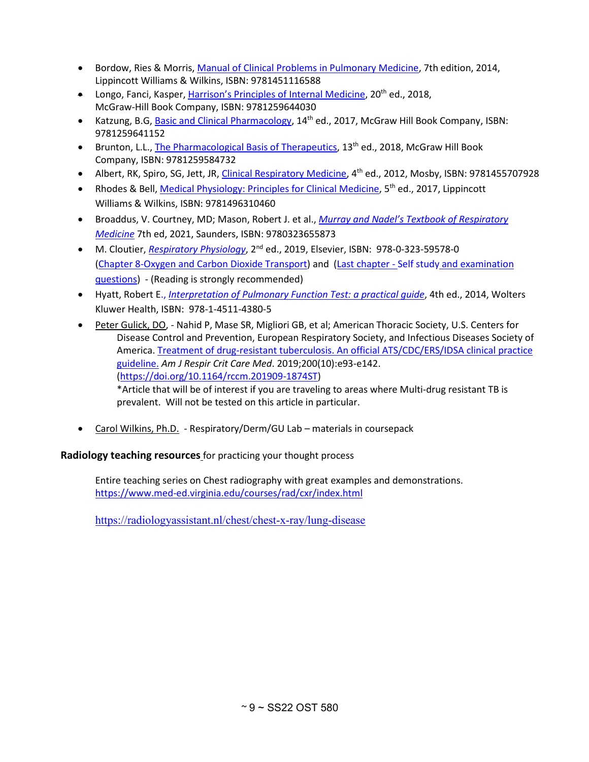- Bordow, Ries & Morris, [Manual of Clinical Problems in Pulmonary Medicine,](http://ezproxy.msu.edu/login?url=http://search.ebscohost.com/login.aspx?direct=true&scope=site&db=e000xna&AN=1473124) 7th edition, 2014, Lippincott Williams & Wilkins, ISBN: 9781451116588
- Longo, Fanci, Kasper[, Harrison's Principles of Internal Medicine,](http://ezproxy.msu.edu/login?url=https://accessmedicine.mhmedical.com/book.aspx?bookid=2129) 20<sup>th</sup> ed., 2018, McGraw-Hill Book Company, ISBN: 9781259644030
- Katzung, B.G, [Basic and Clinical Pharmacology,](http://ezproxy.msu.edu/login?url=https://accessmedicine.mhmedical.com/book.aspx?bookid=2249) 14<sup>th</sup> ed., 2017, McGraw Hill Book Company, ISBN: 9781259641152
- Brunton, L.L., [The Pharmacological Basis of Therapeutics,](http://ezproxy.msu.edu/login?url=https://accessmedicine.mhmedical.com/book.aspx?bookid=2189) 13th ed., 2018, McGraw Hill Book Company, ISBN: 9781259584732
- Albert, RK, Spiro, SG, Jett, JR[, Clinical Respiratory Medicine,](http://ezproxy.msu.edu/login?url=https://www.clinicalkey.com/dura/browse/bookChapter/3-s2.0-C2010066874X) 4th ed., 2012, Mosby, ISBN: 9781455707928
- Rhodes & Bell, [Medical Physiology: Principles for Clinical Medicine,](http://ezproxy.msu.edu/login?url=http://meded.lwwhealthlibrary.com/book.aspx?bookid=2188) 5<sup>th</sup> ed., 2017, Lippincott Williams & Wilkins, ISBN: 9781496310460
- Broaddus, V. Courtney, MD; Mason, Robert J. et al., *[Murray and Nadel's Textbook of Respiratory](http://ezproxy.msu.edu/login?url=https://www.clinicalkey.com/dura/browse/bookChapter/3-s2.0-C20111081237) [Medicine](http://ezproxy.msu.edu/login?url=https://www.clinicalkey.com/dura/browse/bookChapter/3-s2.0-C20111081237)* 7th ed, 2021, Saunders, ISBN: 9780323655873
- M. Cloutier, *[Respiratory Physiology](http://ezproxy.msu.edu/login?url=https://www.clinicalkey.com/dura/browse/bookChapter/3-s2.0-C20160042882)*, 2<sup>nd</sup> ed., 2019, Elsevier, ISBN: 978-0-323-59578-0 [\(Chapter 8-Oxygen and Carbon Dioxide Transport\)](http://ezproxy.msu.edu/login?url=https://www.clinicalkey.com/#!/content/book/3-s2.0-B9780323595780000087) and (Last chapter - Self study [and examination](http://ezproxy.msu.edu/login?url=https://www.clinicalkey.com/#!/content/book/3-s2.0-B9780323595780150018)  [questions\)](http://ezproxy.msu.edu/login?url=https://www.clinicalkey.com/#!/content/book/3-s2.0-B9780323595780150018) - (Reading is strongly recommended)
- Hyatt, Robert E., *[Interpretation of Pulmonary Function Test: a practical guide](http://ezproxy.msu.edu/login?url=https://ebookcentral.proquest.com/lib/michstate-ebooks/detail.action?docID=2031624)*, 4th ed., 2014, Wolters Kluwer Health, ISBN: 978-1-4511-4380-5
- Peter Gulick, DO, Nahid P, Mase SR, Migliori GB, et al; American Thoracic Society, U.S. Centers for Disease Control and Prevention, European Respiratory Society, and Infectious Diseases Society of America[. Treatment of drug-resistant tuberculosis. An official ATS/CDC/ERS/IDSA clinical practice](http://ezproxy.msu.edu/login?url=https://www.atsjournals.org/doi/10.1164/rccm.201909-1874ST)  [guideline.](http://ezproxy.msu.edu/login?url=https://www.atsjournals.org/doi/10.1164/rccm.201909-1874ST) *Am J Respir Crit Care Med*. 2019;200(10):e93-e142. [\(https://doi.org/10.1164/rccm.201909-1874ST\)](https://doi.org/10.1164/rccm.201909-1874ST)

\*Article that will be of interest if you are traveling to areas where Multi-drug resistant TB is prevalent. Will not be tested on this article in particular.

• Carol Wilkins, Ph.D. - Respiratory/Derm/GU Lab – materials in coursepack

**Radiology teaching resources** for practicing your thought process

Entire teaching series on Chest radiography with great examples and demonstrations. <https://www.med-ed.virginia.edu/courses/rad/cxr/index.html>

[https://radiologyassistant.nl/chest/chest-x-ray/lung-disease](https://urldefense.com/v3/__https:/radiologyassistant.nl/chest/chest-x-ray/lung-disease__;!!HXCxUKc!krYy3GRbdbA2ih2inVpJNZUGKY83s8gyLF0-al71XIoPyesIFjFaz9PxGIYWuKI$)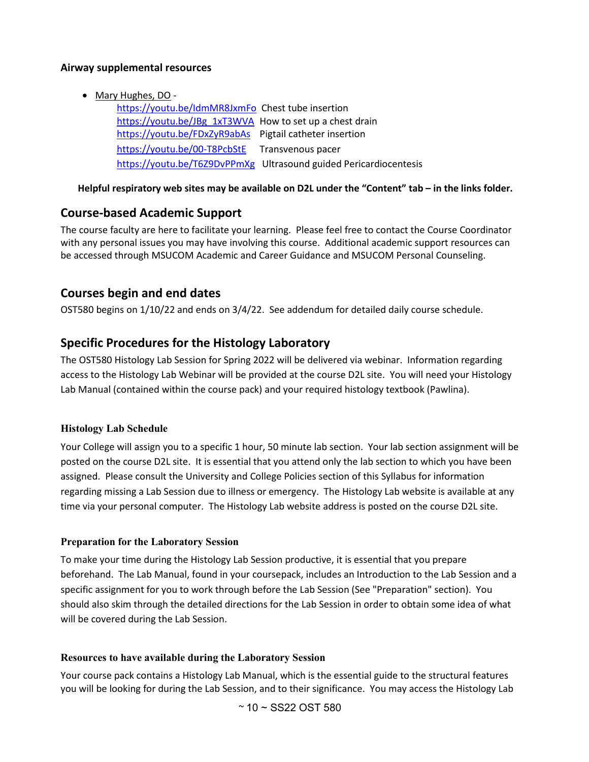#### **Airway supplemental resources**

• Mary Hughes, DO -

[https://youtu.be/IdmMR8JxmFo](https://urldefense.com/v3/__https:/youtu.be/IdmMR8JxmFo__;!!HXCxUKc!jtkSEWYui8JNApHC3EY6Z3lduI9fEjG26FoUBQ2vvluVPfBtXJxI9R5qmibQcVvhloSV$) Chest tube insertion [https://youtu.be/JBg\\_1xT3WVA](https://urldefense.com/v3/__https:/youtu.be/JBg_1xT3WVA__;!!HXCxUKc!jtkSEWYui8JNApHC3EY6Z3lduI9fEjG26FoUBQ2vvluVPfBtXJxI9R5qmibQcTAUS11L$) How to set up a chest drain [https://youtu.be/FDxZyR9abAs](https://urldefense.com/v3/__https:/youtu.be/FDxZyR9abAs__;!!HXCxUKc!jtkSEWYui8JNApHC3EY6Z3lduI9fEjG26FoUBQ2vvluVPfBtXJxI9R5qmibQcaOx4qgK$) Pigtail catheter insertion [https://youtu.be/00-T8PcbStE](https://urldefense.com/v3/__https:/youtu.be/00-T8PcbStE__;!!HXCxUKc!jtkSEWYui8JNApHC3EY6Z3lduI9fEjG26FoUBQ2vvluVPfBtXJxI9R5qmibQcZOd-tJ_$) Transvenous pacer [https://youtu.be/T6Z9DvPPmXg](https://urldefense.com/v3/__https:/youtu.be/T6Z9DvPPmXg__;!!HXCxUKc!jtkSEWYui8JNApHC3EY6Z3lduI9fEjG26FoUBQ2vvluVPfBtXJxI9R5qmibQcd83rqQQ$) Ultrasound guided Pericardiocentesis

**Helpful respiratory web sites may be available on D2L under the "Content" tab – in the links folder.** 

## <span id="page-9-0"></span>**Course-based Academic Support**

The course faculty are here to facilitate your learning. Please feel free to contact the Course Coordinator with any personal issues you may have involving this course. Additional academic support resources can be accessed through MSUCOM Academic and Career Guidance and MSUCOM Personal Counseling.

## <span id="page-9-1"></span>**Courses begin and end dates**

OST580 begins on 1/10/22 and ends on 3/4/22. See addendum for detailed daily course schedule.

## **Specific Procedures for the Histology Laboratory**

The OST580 Histology Lab Session for Spring 2022 will be delivered via webinar. Information regarding access to the Histology Lab Webinar will be provided at the course D2L site. You will need your Histology Lab Manual (contained within the course pack) and your required histology textbook (Pawlina).

#### **Histology Lab Schedule**

Your College will assign you to a specific 1 hour, 50 minute lab section. Your lab section assignment will be posted on the course D2L site. It is essential that you attend only the lab section to which you have been assigned. Please consult the University and College Policies section of this Syllabus for information regarding missing a Lab Session due to illness or emergency. The Histology Lab website is available at any time via your personal computer. The Histology Lab website address is posted on the course D2L site.

#### **Preparation for the Laboratory Session**

To make your time during the Histology Lab Session productive, it is essential that you prepare beforehand. The Lab Manual, found in your coursepack, includes an Introduction to the Lab Session and a specific assignment for you to work through before the Lab Session (See "Preparation" section). You should also skim through the detailed directions for the Lab Session in order to obtain some idea of what will be covered during the Lab Session.

#### **Resources to have available during the Laboratory Session**

Your course pack contains a Histology Lab Manual, which is the essential guide to the structural features you will be looking for during the Lab Session, and to their significance. You may access the Histology Lab

 $~\sim$  10  $\sim$  SS22 OST 580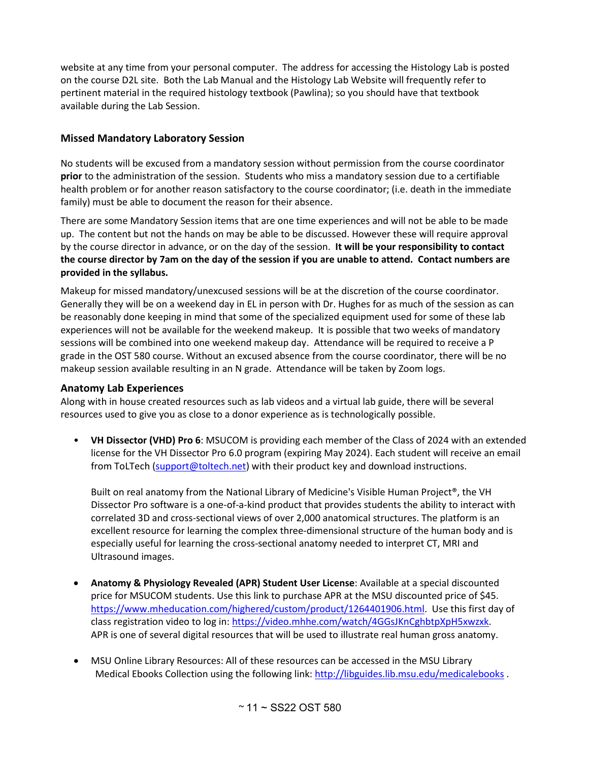website at any time from your personal computer. The address for accessing the Histology Lab is posted on the course D2L site. Both the Lab Manual and the Histology Lab Website will frequently refer to pertinent material in the required histology textbook (Pawlina); so you should have that textbook available during the Lab Session.

## **Missed Mandatory Laboratory Session**

No students will be excused from a mandatory session without permission from the course coordinator **prior** to the administration of the session. Students who miss a mandatory session due to a certifiable health problem or for another reason satisfactory to the course coordinator; (i.e. death in the immediate family) must be able to document the reason for their absence.

There are some Mandatory Session items that are one time experiences and will not be able to be made up. The content but not the hands on may be able to be discussed. However these will require approval by the course director in advance, or on the day of the session. **It will be your responsibility to contact the course director by 7am on the day of the session if you are unable to attend. Contact numbers are provided in the syllabus.**

Makeup for missed mandatory/unexcused sessions will be at the discretion of the course coordinator. Generally they will be on a weekend day in EL in person with Dr. Hughes for as much of the session as can be reasonably done keeping in mind that some of the specialized equipment used for some of these lab experiences will not be available for the weekend makeup. It is possible that two weeks of mandatory sessions will be combined into one weekend makeup day. Attendance will be required to receive a P grade in the OST 580 course. Without an excused absence from the course coordinator, there will be no makeup session available resulting in an N grade. Attendance will be taken by Zoom logs.

#### **Anatomy Lab Experiences**

Along with in house created resources such as lab videos and a virtual lab guide, there will be several resources used to give you as close to a donor experience as is technologically possible.

• **VH Dissector (VHD) Pro 6**: MSUCOM is providing each member of the Class of 2024 with an extended license for the VH Dissector Pro 6.0 program (expiring May 2024). Each student will receive an email from ToLTech [\(support@toltech.net\)](mailto:support@toltech.net) with their product key and download instructions.

Built on real anatomy from the National Library of Medicine's Visible Human Project<sup>®</sup>, the VH Dissector Pro software is a one-of-a-kind product that provides students the ability to interact with correlated 3D and cross-sectional views of over 2,000 anatomical structures. The platform is an excellent resource for learning the complex three-dimensional structure of the human body and is especially useful for learning the cross-sectional anatomy needed to interpret CT, MRI and Ultrasound images.

- **Anatomy & Physiology Revealed (APR) Student User License**: Available at a special discounted price for MSUCOM students. Use this link to purchase APR at the MSU discounted price of \$45. [https://www.mheducation.com/highered/custom/product/1264401906.html.](https://www.mheducation.com/highered/custom/product/1264401906.html) Use this first day of class registration video to log in: [https://video.mhhe.com/watch/4GGsJKnCghbtpXpH5xwzxk.](https://video.mhhe.com/watch/4GGsJKnCghbtpXpH5xwzxk) APR is one of several digital resources that will be used to illustrate real human gross anatomy.
- MSU Online Library Resources: All of these resources can be accessed in the MSU Library Medical Ebooks Collection using the following link: <http://libguides.lib.msu.edu/medicalebooks> .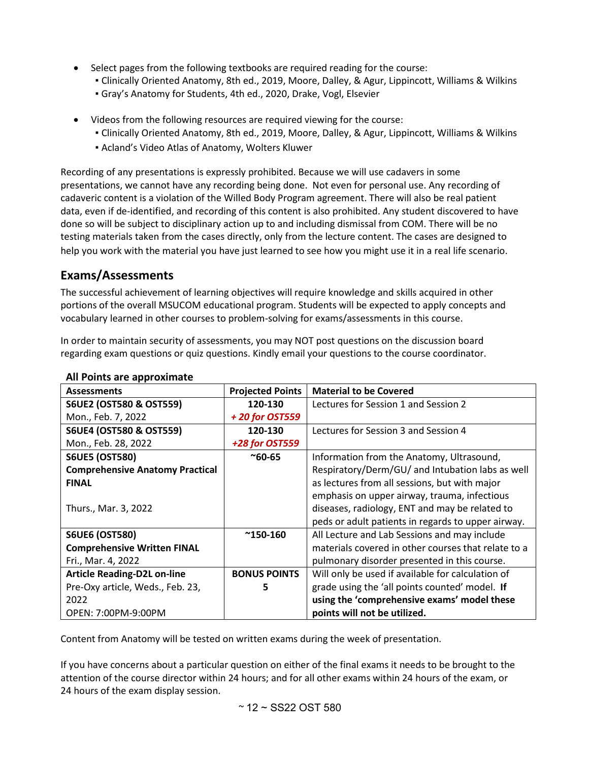- Select pages from the following textbooks are required reading for the course:
	- Clinically Oriented Anatomy, 8th ed., 2019, Moore, Dalley, & Agur, Lippincott, Williams & Wilkins
	- Gray's Anatomy for Students, 4th ed., 2020, Drake, Vogl, Elsevier
- Videos from the following resources are required viewing for the course:
	- Clinically Oriented Anatomy, 8th ed., 2019, Moore, Dalley, & Agur, Lippincott, Williams & Wilkins
	- Acland's Video Atlas of Anatomy, Wolters Kluwer

Recording of any presentations is expressly prohibited. Because we will use cadavers in some presentations, we cannot have any recording being done. Not even for personal use. Any recording of cadaveric content is a violation of the Willed Body Program agreement. There will also be real patient data, even if de-identified, and recording of this content is also prohibited. Any student discovered to have done so will be subject to disciplinary action up to and including dismissal from COM. There will be no testing materials taken from the cases directly, only from the lecture content. The cases are designed to help you work with the material you have just learned to see how you might use it in a real life scenario.

## <span id="page-11-0"></span>**Exams/Assessments**

The successful achievement of learning objectives will require knowledge and skills acquired in other portions of the overall MSUCOM educational program. Students will be expected to apply concepts and vocabulary learned in other courses to problem-solving for exams/assessments in this course.

In order to maintain security of assessments, you may NOT post questions on the discussion board regarding exam questions or quiz questions. Kindly email your questions to the course coordinator.

| <b>Assessments</b>                     | <b>Projected Points</b> | <b>Material to be Covered</b>                       |
|----------------------------------------|-------------------------|-----------------------------------------------------|
| <b>S6UE2 (OST580 &amp; OST559)</b>     | 120-130                 | Lectures for Session 1 and Session 2                |
| Mon., Feb. 7, 2022                     | +20 for OST559          |                                                     |
| <b>S6UE4 (OST580 &amp; OST559)</b>     | 120-130                 | Lectures for Session 3 and Session 4                |
| Mon., Feb. 28, 2022                    | +28 for OST559          |                                                     |
| <b>S6UE5 (OST580)</b>                  | $^{\sim}60 - 65$        | Information from the Anatomy, Ultrasound,           |
| <b>Comprehensive Anatomy Practical</b> |                         | Respiratory/Derm/GU/ and Intubation labs as well    |
| <b>FINAL</b>                           |                         | as lectures from all sessions, but with major       |
|                                        |                         | emphasis on upper airway, trauma, infectious        |
| Thurs., Mar. 3, 2022                   |                         | diseases, radiology, ENT and may be related to      |
|                                        |                         | peds or adult patients in regards to upper airway.  |
| <b>S6UE6 (OST580)</b>                  | $^{\sim}$ 150-160       | All Lecture and Lab Sessions and may include        |
| <b>Comprehensive Written FINAL</b>     |                         | materials covered in other courses that relate to a |
| Fri., Mar. 4, 2022                     |                         | pulmonary disorder presented in this course.        |
| <b>Article Reading-D2L on-line</b>     | <b>BONUS POINTS</b>     | Will only be used if available for calculation of   |
| Pre-Oxy article, Weds., Feb. 23,       | 5                       | grade using the 'all points counted' model. If      |
| 2022                                   |                         | using the 'comprehensive exams' model these         |
| OPEN: 7:00PM-9:00PM                    |                         | points will not be utilized.                        |

## **All Points are approximate**

Content from Anatomy will be tested on written exams during the week of presentation.

If you have concerns about a particular question on either of the final exams it needs to be brought to the attention of the course director within 24 hours; and for all other exams within 24 hours of the exam, or 24 hours of the exam display session.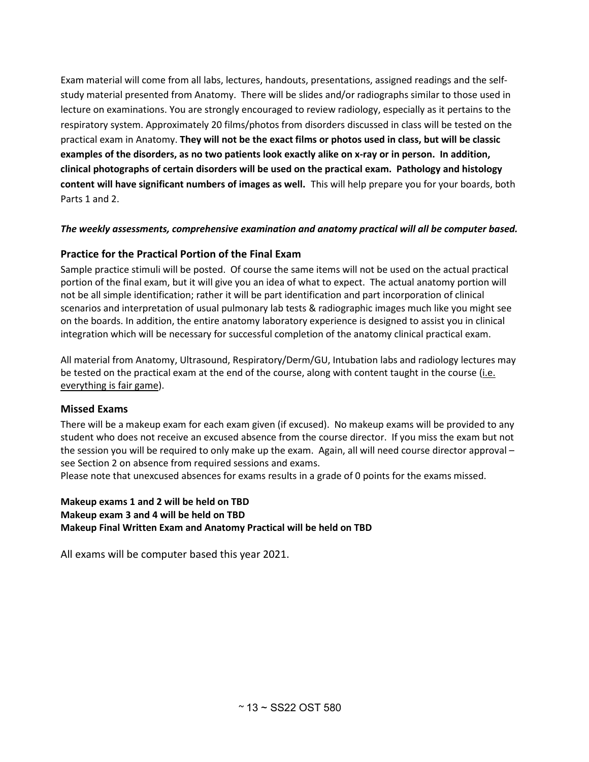Exam material will come from all labs, lectures, handouts, presentations, assigned readings and the selfstudy material presented from Anatomy. There will be slides and/or radiographs similar to those used in lecture on examinations. You are strongly encouraged to review radiology, especially as it pertains to the respiratory system. Approximately 20 films/photos from disorders discussed in class will be tested on the practical exam in Anatomy. **They will not be the exact films or photos used in class, but will be classic examples of the disorders, as no two patients look exactly alike on x-ray or in person. In addition, clinical photographs of certain disorders will be used on the practical exam. Pathology and histology content will have significant numbers of images as well.** This will help prepare you for your boards, both Parts 1 and 2.

#### *The weekly assessments, comprehensive examination and anatomy practical will all be computer based.*

#### **Practice for the Practical Portion of the Final Exam**

Sample practice stimuli will be posted. Of course the same items will not be used on the actual practical portion of the final exam, but it will give you an idea of what to expect. The actual anatomy portion will not be all simple identification; rather it will be part identification and part incorporation of clinical scenarios and interpretation of usual pulmonary lab tests & radiographic images much like you might see on the boards. In addition, the entire anatomy laboratory experience is designed to assist you in clinical integration which will be necessary for successful completion of the anatomy clinical practical exam.

All material from Anatomy, Ultrasound, Respiratory/Derm/GU, Intubation labs and radiology lectures may be tested on the practical exam at the end of the course, along with content taught in the course (i.e. everything is fair game).

#### **Missed Exams**

There will be a makeup exam for each exam given (if excused). No makeup exams will be provided to any student who does not receive an excused absence from the course director. If you miss the exam but not the session you will be required to only make up the exam. Again, all will need course director approval – see Section 2 on absence from required sessions and exams.

Please note that unexcused absences for exams results in a grade of 0 points for the exams missed.

#### **Makeup exams 1 and 2 will be held on TBD Makeup exam 3 and 4 will be held on TBD Makeup Final Written Exam and Anatomy Practical will be held on TBD**

All exams will be computer based this year 2021.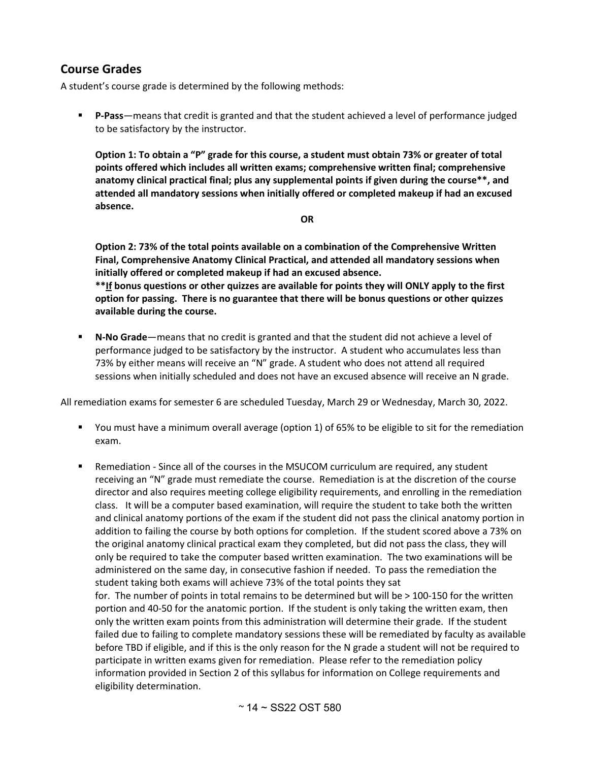## <span id="page-13-0"></span>**Course Grades**

A student's course grade is determined by the following methods:

 **P-Pass**—means that credit is granted and that the student achieved a level of performance judged to be satisfactory by the instructor.

**Option 1: To obtain a "P" grade for this course, a student must obtain 73% or greater of total points offered which includes all written exams; comprehensive written final; comprehensive anatomy clinical practical final; plus any supplemental points if given during the course\*\*, and attended all mandatory sessions when initially offered or completed makeup if had an excused absence.**

**OR**

**Option 2: 73% of the total points available on a combination of the Comprehensive Written Final, Comprehensive Anatomy Clinical Practical, and attended all mandatory sessions when initially offered or completed makeup if had an excused absence. \*\*If bonus questions or other quizzes are available for points they will ONLY apply to the first option for passing. There is no guarantee that there will be bonus questions or other quizzes available during the course.**

 **N-No Grade**—means that no credit is granted and that the student did not achieve a level of performance judged to be satisfactory by the instructor. A student who accumulates less than 73% by either means will receive an "N" grade. A student who does not attend all required sessions when initially scheduled and does not have an excused absence will receive an N grade.

All remediation exams for semester 6 are scheduled Tuesday, March 29 or Wednesday, March 30, 2022.

- You must have a minimum overall average (option 1) of 65% to be eligible to sit for the remediation exam.
- Remediation Since all of the courses in the MSUCOM curriculum are required, any student receiving an "N" grade must remediate the course. Remediation is at the discretion of the course director and also requires meeting college eligibility requirements, and enrolling in the remediation class. It will be a computer based examination, will require the student to take both the written and clinical anatomy portions of the exam if the student did not pass the clinical anatomy portion in addition to failing the course by both options for completion. If the student scored above a 73% on the original anatomy clinical practical exam they completed, but did not pass the class, they will only be required to take the computer based written examination. The two examinations will be administered on the same day, in consecutive fashion if needed. To pass the remediation the student taking both exams will achieve 73% of the total points they sat

for. The number of points in total remains to be determined but will be > 100-150 for the written portion and 40-50 for the anatomic portion. If the student is only taking the written exam, then only the written exam points from this administration will determine their grade. If the student failed due to failing to complete mandatory sessions these will be remediated by faculty as available before TBD if eligible, and if this is the only reason for the N grade a student will not be required to participate in written exams given for remediation. Please refer to the remediation policy information provided in Section 2 of this syllabus for information on College requirements and eligibility determination.

 $~^{\circ}$  14  $\sim$  SS22 OST 580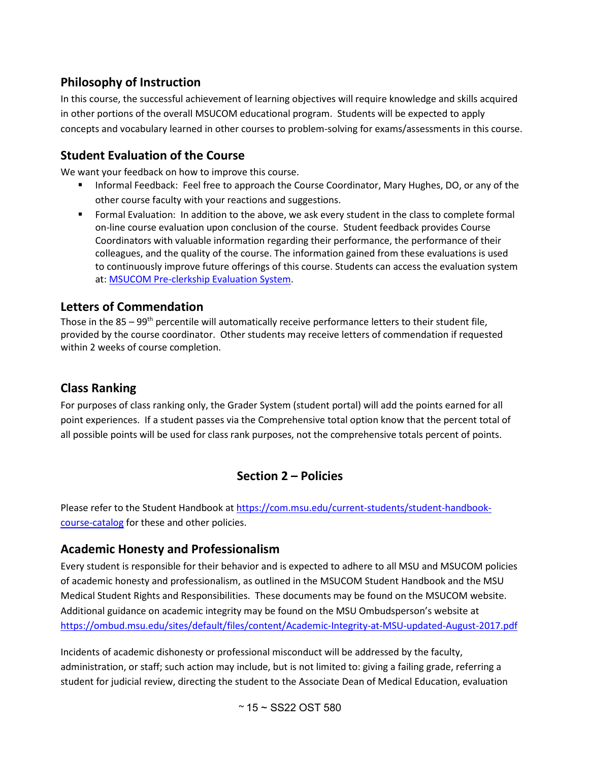# **Philosophy of Instruction**

In this course, the successful achievement of learning objectives will require knowledge and skills acquired in other portions of the overall MSUCOM educational program. Students will be expected to apply concepts and vocabulary learned in other courses to problem-solving for exams/assessments in this course.

# <span id="page-14-0"></span>**Student Evaluation of the Course**

We want your feedback on how to improve this course.

- Informal Feedback: Feel free to approach the Course Coordinator, Mary Hughes, DO, or any of the other course faculty with your reactions and suggestions.
- Formal Evaluation: In addition to the above, we ask every student in the class to complete formal on-line course evaluation upon conclusion of the course. Student feedback provides Course Coordinators with valuable information regarding their performance, the performance of their colleagues, and the quality of the course. The information gained from these evaluations is used to continuously improve future offerings of this course. Students can access the evaluation system at: [MSUCOM Pre-clerkship Evaluation System.](https://hit-filemakerwb.hc.msu.edu/MED12_Eval/Index.html)

## **Letters of Commendation**

Those in the  $85 - 99$ <sup>th</sup> percentile will automatically receive performance letters to their student file, provided by the course coordinator. Other students may receive letters of commendation if requested within 2 weeks of course completion.

# <span id="page-14-1"></span>**Class Ranking**

For purposes of class ranking only, the Grader System (student portal) will add the points earned for all point experiences. If a student passes via the Comprehensive total option know that the percent total of all possible points will be used for class rank purposes, not the comprehensive totals percent of points.

# **Section 2 – Policies**

Please refer to the Student Handbook at [https://com.msu.edu/current-students/student-handbook](https://com.msu.edu/current-students/student-handbook-course-catalog)[course-catalog](https://com.msu.edu/current-students/student-handbook-course-catalog) for these and other policies.

# <span id="page-14-2"></span>**Academic Honesty and Professionalism**

Every student is responsible for their behavior and is expected to adhere to all MSU and MSUCOM policies of academic honesty and professionalism, as outlined in the MSUCOM Student Handbook and the MSU Medical Student Rights and Responsibilities. These documents may be found on the MSUCOM website. Additional guidance on academic integrity may be found on the MSU Ombudsperson's website at <https://ombud.msu.edu/sites/default/files/content/Academic-Integrity-at-MSU-updated-August-2017.pdf>

Incidents of academic dishonesty or professional misconduct will be addressed by the faculty, administration, or staff; such action may include, but is not limited to: giving a failing grade, referring a student for judicial review, directing the student to the Associate Dean of Medical Education, evaluation

 $~^{\circ}$  15  $\sim$  SS22 OST 580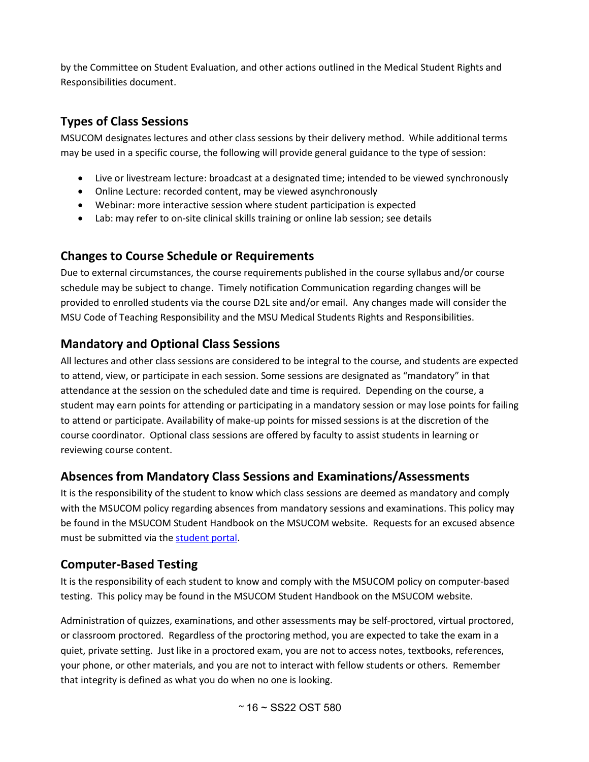by the Committee on Student Evaluation, and other actions outlined in the Medical Student Rights and Responsibilities document.

## <span id="page-15-0"></span>**Types of Class Sessions**

MSUCOM designates lectures and other class sessions by their delivery method. While additional terms may be used in a specific course, the following will provide general guidance to the type of session:

- Live or livestream lecture: broadcast at a designated time; intended to be viewed synchronously
- Online Lecture: recorded content, may be viewed asynchronously
- Webinar: more interactive session where student participation is expected
- Lab: may refer to on-site clinical skills training or online lab session; see details

# **Changes to Course Schedule or Requirements**

Due to external circumstances, the course requirements published in the course syllabus and/or course schedule may be subject to change. Timely notification Communication regarding changes will be provided to enrolled students via the course D2L site and/or email. Any changes made will consider the MSU Code of Teaching Responsibility and the MSU Medical Students Rights and Responsibilities.

# <span id="page-15-1"></span>**Mandatory and Optional Class Sessions**

All lectures and other class sessions are considered to be integral to the course, and students are expected to attend, view, or participate in each session. Some sessions are designated as "mandatory" in that attendance at the session on the scheduled date and time is required. Depending on the course, a student may earn points for attending or participating in a mandatory session or may lose points for failing to attend or participate. Availability of make-up points for missed sessions is at the discretion of the course coordinator. Optional class sessions are offered by faculty to assist students in learning or reviewing course content.

# <span id="page-15-2"></span>**Absences from Mandatory Class Sessions and Examinations/Assessments**

It is the responsibility of the student to know which class sessions are deemed as mandatory and comply with the MSUCOM policy regarding absences from mandatory sessions and examinations. This policy may be found in the MSUCOM Student Handbook on the MSUCOM website. Requests for an excused absence must be submitted via th[e student portal.](https://studentportal.com.msu.edu/)

## <span id="page-15-3"></span>**Computer-Based Testing**

It is the responsibility of each student to know and comply with the MSUCOM policy on computer-based testing. This policy may be found in the MSUCOM Student Handbook on the MSUCOM website.

Administration of quizzes, examinations, and other assessments may be self-proctored, virtual proctored, or classroom proctored. Regardless of the proctoring method, you are expected to take the exam in a quiet, private setting. Just like in a proctored exam, you are not to access notes, textbooks, references, your phone, or other materials, and you are not to interact with fellow students or others. Remember that integrity is defined as what you do when no one is looking.

 $~^{\circ}$  16  $\sim$  SS22 OST 580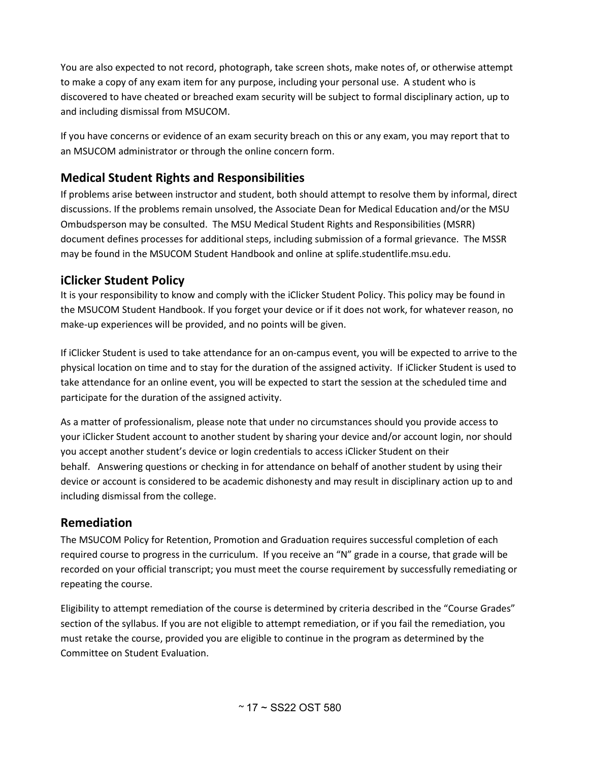You are also expected to not record, photograph, take screen shots, make notes of, or otherwise attempt to make a copy of any exam item for any purpose, including your personal use. A student who is discovered to have cheated or breached exam security will be subject to formal disciplinary action, up to and including dismissal from MSUCOM.

If you have concerns or evidence of an exam security breach on this or any exam, you may report that to an MSUCOM administrator or through the online concern form.

# <span id="page-16-0"></span>**Medical Student Rights and Responsibilities**

If problems arise between instructor and student, both should attempt to resolve them by informal, direct discussions. If the problems remain unsolved, the Associate Dean for Medical Education and/or the MSU Ombudsperson may be consulted. The MSU Medical Student Rights and Responsibilities (MSRR) document defines processes for additional steps, including submission of a formal grievance. The MSSR may be found in the MSUCOM Student Handbook and online at splife.studentlife.msu.edu.

# **iClicker Student Policy**

It is your responsibility to know and comply with the iClicker Student Policy. This policy may be found in the MSUCOM Student Handbook. If you forget your device or if it does not work, for whatever reason, no make-up experiences will be provided, and no points will be given.

If iClicker Student is used to take attendance for an on-campus event, you will be expected to arrive to the physical location on time and to stay for the duration of the assigned activity. If iClicker Student is used to take attendance for an online event, you will be expected to start the session at the scheduled time and participate for the duration of the assigned activity.

As a matter of professionalism, please note that under no circumstances should you provide access to your iClicker Student account to another student by sharing your device and/or account login, nor should you accept another student's device or login credentials to access iClicker Student on their behalf. Answering questions or checking in for attendance on behalf of another student by using their device or account is considered to be academic dishonesty and may result in disciplinary action up to and including dismissal from the college.

# <span id="page-16-1"></span>**Remediation**

The MSUCOM Policy for Retention, Promotion and Graduation requires successful completion of each required course to progress in the curriculum. If you receive an "N" grade in a course, that grade will be recorded on your official transcript; you must meet the course requirement by successfully remediating or repeating the course.

Eligibility to attempt remediation of the course is determined by criteria described in the "Course Grades" section of the syllabus. If you are not eligible to attempt remediation, or if you fail the remediation, you must retake the course, provided you are eligible to continue in the program as determined by the Committee on Student Evaluation.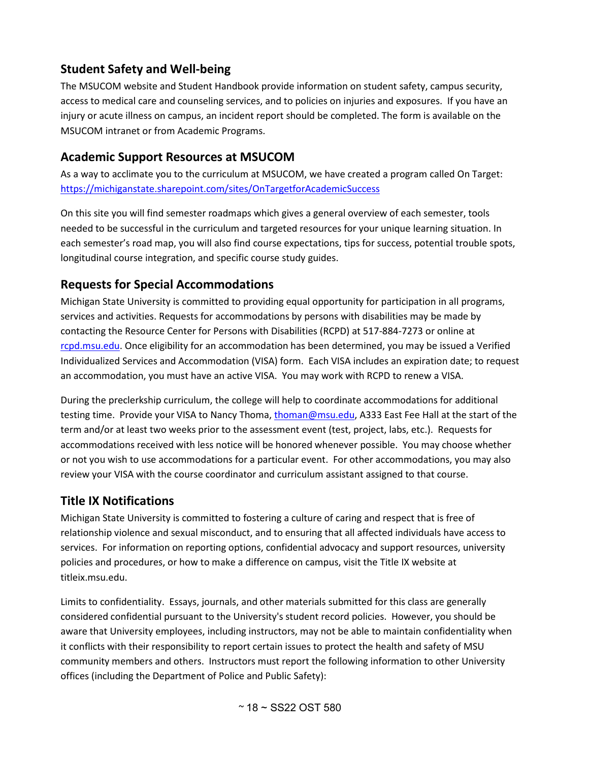# <span id="page-17-0"></span>**Student Safety and Well-being**

The MSUCOM website and Student Handbook provide information on student safety, campus security, access to medical care and counseling services, and to policies on injuries and exposures. If you have an injury or acute illness on campus, an incident report should be completed. The form is available on the MSUCOM intranet or from Academic Programs.

## <span id="page-17-1"></span>**Academic Support Resources at MSUCOM**

As a way to acclimate you to the curriculum at MSUCOM, we have created a program called On Target: <https://michiganstate.sharepoint.com/sites/OnTargetforAcademicSuccess>

On this site you will find semester roadmaps which gives a general overview of each semester, tools needed to be successful in the curriculum and targeted resources for your unique learning situation. In each semester's road map, you will also find course expectations, tips for success, potential trouble spots, longitudinal course integration, and specific course study guides.

## <span id="page-17-2"></span>**Requests for Special Accommodations**

Michigan State University is committed to providing equal opportunity for participation in all programs, services and activities. Requests for accommodations by persons with disabilities may be made by contacting the Resource Center for Persons with Disabilities (RCPD) at 517-884-7273 or online at rcpd.msu.edu</u>. Once eligibility for an accommodation has been determined, you may be issued a Verified Individualized Services and Accommodation (VISA) form. Each VISA includes an expiration date; to request an accommodation, you must have an active VISA. You may work with RCPD to renew a VISA.

During the preclerkship curriculum, the college will help to coordinate accommodations for additional testing time. Provide your VISA to Nancy Thoma, [thoman@msu.edu,](mailto:thoman@msu.edu) A333 East Fee Hall at the start of the term and/or at least two weeks prior to the assessment event (test, project, labs, etc.). Requests for accommodations received with less notice will be honored whenever possible. You may choose whether or not you wish to use accommodations for a particular event. For other accommodations, you may also review your VISA with the course coordinator and curriculum assistant assigned to that course.

# <span id="page-17-3"></span>**Title IX Notifications**

Michigan State University is committed to fostering a culture of caring and respect that is free of relationship violence and sexual misconduct, and to ensuring that all affected individuals have access to services. For information on reporting options, confidential advocacy and support resources, university policies and procedures, or how to make a difference on campus, visit the Title IX website at titleix.msu.edu.

Limits to confidentiality. Essays, journals, and other materials submitted for this class are generally considered confidential pursuant to the University's student record policies. However, you should be aware that University employees, including instructors, may not be able to maintain confidentiality when it conflicts with their responsibility to report certain issues to protect the health and safety of MSU community members and others. Instructors must report the following information to other University offices (including the Department of Police and Public Safety):